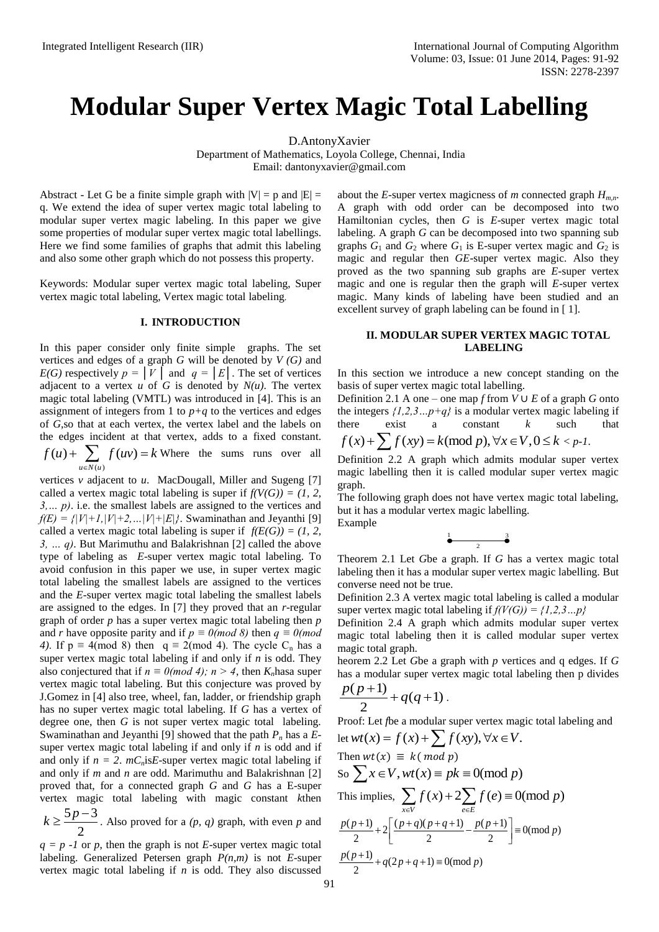## **Modular Super Vertex Magic Total Labelling**

D.AntonyXavier

Department of Mathematics, Loyola College, Chennai, India Email: [dantonyxavier@gmail.com](mailto:dantonyxavier@gmail.com)

Abstract - Let G be a finite simple graph with  $|V| = p$  and  $|E| =$ q. We extend the idea of super vertex magic total labeling to modular super vertex magic labeling. In this paper we give some properties of modular super vertex magic total labellings. Here we find some families of graphs that admit this labeling and also some other graph which do not possess this property.

Keywords: Modular super vertex magic total labeling, Super vertex magic total labeling, Vertex magic total labeling.

## **I. INTRODUCTION**

In this paper consider only finite simple graphs. The set vertices and edges of a graph *G* will be denoted by *V (G)* and *E(G)* respectively  $p = |V|$  and  $q = |E|$ . The set of vertices adjacent to a vertex  $u$  of  $G$  is denoted by  $N(u)$ . The vertex magic total labeling (VMTL) was introduced in [4]. This is an assignment of integers from 1 to  $p+q$  to the vertices and edges of *G*,so that at each vertex, the vertex label and the labels on the edges incident at that vertex, adds to a fixed constant. Where the sums runs over all  $\bar{u}$  $(u) + \sum f(uv)$  $u \in N(u)$  $f(u) + \sum f(uv) = k$  $+\sum_{u\in N(u)} f(uv) = k$ 

vertices *v* adjacent to *u*. MacDougall, Miller and Sugeng [7] called a vertex magic total labeling is super if  $f(V(G)) = (1, 2, 1)$ *3,… p)*. i.e. the smallest labels are assigned to the vertices and  $f(E) = \frac{f}{|V|+1}$ ,  $|V|+2$ , ...  $|V|+|E|$ . Swaminathan and Jeyanthi [9] called a vertex magic total labeling is super if  $f(E(G)) = (1, 2, 1)$ *3, … q)*. But Marimuthu and Balakrishnan [2] called the above type of labeling as *E*-super vertex magic total labeling. To avoid confusion in this paper we use, in super vertex magic total labeling the smallest labels are assigned to the vertices and the *E*-super vertex magic total labeling the smallest labels are assigned to the edges. In [7] they proved that an *r*-regular graph of order *p* has a super vertex magic total labeling then *p*  and *r* have opposite parity and if  $p \equiv 0 \pmod{8}$  then  $q \equiv 0 \pmod{8}$ *4*). If  $p \equiv 4 \pmod{8}$  then  $q \equiv 2 \pmod{4}$ . The cycle C<sub>n</sub> has a super vertex magic total labeling if and only if *n* is odd. They also conjectured that if  $n \equiv 0 \pmod{4}$ ;  $n > 4$ , then  $K_n$  has a super vertex magic total labeling. But this conjecture was proved by J.Gomez in [4] also tree, wheel, fan, ladder, or friendship graph has no super vertex magic total labeling. If *G* has a vertex of degree one, then *G* is not super vertex magic total labeling. Swaminathan and Jeyanthi [9] showed that the path *P<sup>n</sup>* has a *E*super vertex magic total labeling if and only if *n* is odd and if and only if  $n = 2$ .  $mC<sub>n</sub>$ is*E*-super vertex magic total labeling if and only if *m* and *n* are odd. Marimuthu and Balakrishnan [2] proved that, for a connected graph *G* and *G* has a E-super vertex magic total labeling with magic constant *k*then

 $\frac{5p-3}{2}$ . Also proved for a *(p, q)* graph, with even *p* and 2  $k \geq \frac{5p-1}{2}$ 

 $q = p -1$  or p, then the graph is not *E*-super vertex magic total labeling. Generalized Petersen graph *P(n,m)* is not *E*-super vertex magic total labeling if *n* is odd. They also discussed about the *E*-super vertex magicness of *m* connected graph *Hm,n*. A graph with odd order can be decomposed into two Hamiltonian cycles, then *G* is *E*-super vertex magic total labeling. A graph *G* can be decomposed into two spanning sub graphs  $G_1$  and  $G_2$  where  $G_1$  is E-super vertex magic and  $G_2$  is magic and regular then *GE*-super vertex magic. Also they proved as the two spanning sub graphs are *E*-super vertex magic and one is regular then the graph will *E*-super vertex magic. Many kinds of labeling have been studied and an excellent survey of graph labeling can be found in [ 1].

## **II. MODULAR SUPER VERTEX MAGIC TOTAL LABELING**

In this section we introduce a new concept standing on the basis of super vertex magic total labelling.

Definition 2.1 A one – one map *f* from  $V \cup E$  of a graph *G* onto the integers  $\{1,2,3...p+q\}$  is a modular vertex magic labeling if there exist a constant *k* such that  $f(x) + \sum f(xy) = k \pmod{p}, \forall x \in V, 0 \le k < p$ 

$$
f(x) + \sum f(xy) = k \pmod{p}, \forall x \in V, 0 \le k < p-1.
$$

Definition 2.2 A graph which admits modular super vertex magic labelling then it is called modular super vertex magic graph.

The following graph does not have vertex magic total labeling, but it has a modular vertex magic labelling. Example

$$
\begin{array}{c}\n1 \\
2\n\end{array}
$$

Theorem 2.1 Let *G*be a graph. If *G* has a vertex magic total labeling then it has a modular super vertex magic labelling. But converse need not be true.

Definition 2.3 A vertex magic total labeling is called a modular super vertex magic total labeling if  $f(V(G)) = \{1, 2, 3...p\}$ 

Definition 2.4 A graph which admits modular super vertex magic total labeling then it is called modular super vertex magic total graph.

heorem 2.2 Let *G*be a graph with *p* vertices and q edges. If *G* has a modular super vertex magic total labeling then p divides

$$
\frac{p(p+1)}{2}+q(q+1).
$$

Proof: Let *f*be a modular super vertex magic total labeling and Proof: Let *f*be a modular super vertex magic<br>let  $wt(x) = f(x) + \sum f(xy), \forall x \in V$ .

Then 
$$
wt(x) \equiv k (\mod p)
$$
  
\nSo  $\sum x \in V$ ,  $wt(x) \equiv pk \equiv 0 \pmod{p}$   
\nThis implies,  $\sum_{x \in V} f(x) + 2 \sum_{e \in E} f(e) \equiv 0 \pmod{p}$   
\n $\frac{p(p+1)}{2} + 2 \left[ \frac{(p+q)(p+q+1)}{2} - \frac{p(p+1)}{2} \right] \equiv 0 \pmod{p}$   
\n $\frac{p(p+1)}{2} + q(2p+q+1) \equiv 0 \pmod{p}$